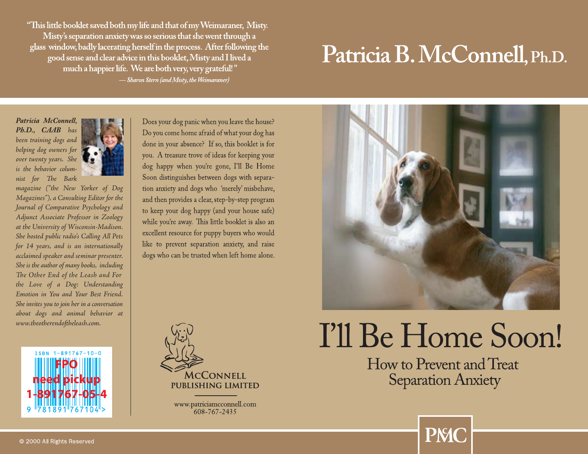### Patricia B. McConnell, Ph.D.



# I'll Be Home Soon!

How to Prevent and Treat **Separation Anxiety** 

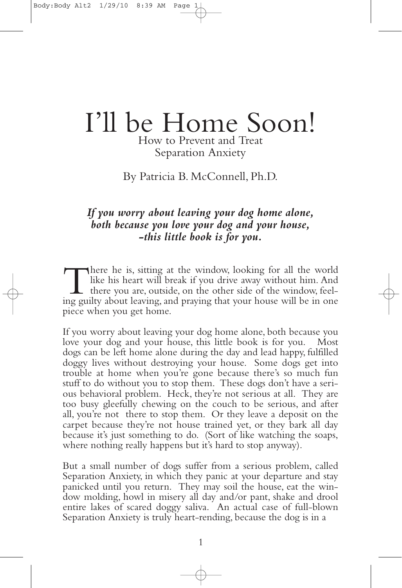### I'll be Home Soon! How to Prevent and Treat

Separation Anxiety

By Patricia B. McConnell, Ph.D.

## If you worry about leaving your dog home alone,<br>both because you love your dog and your house,<br>this little book is for you.

There he is, sitting at the window, looking for all the world<br>like his heart will break if you drive away without him. And<br>there you are, outside, on the other side of the window, feel-<br>ing quilty about leaving and praying like his heart will break if you drive away without him. And there you are, outside, on the other side of the window, feel- ing guilty about leaving,and praying that your house will be in one piece when you get home.

If you worry about leaving your dog home alone, both because you love your dog and your house, this little book is for you. Most dogs can be left home alone during the day and lead happy, fulfilled doggy lives without destroying your house. Some dogs get into trouble at home when you're gone because there's so much fun stuff to do without you to stop them. These dogs don't have <sup>a</sup> seri- ous behavioral problem. Heck, they're not serious at all. They are too busy gleefully chewing on the couch to be serious, and after all, you're not there to stop them. Or they leave a deposit on the carpet because they're not house trained yet, or they bark all day because it's just something to do. (Sort of like watching the soaps, where nothing really happens but it's hard to stop anyway).

But a small number of dogs suffer from a serious problem, called Separation Anxiety, in which they panic at your departure and stay panicked until you return. They may soil the house, eat the window molding, howl in misery all day and/or pant, shake and drool entire lakes of scared doggy saliva. An actual case of full-blown Separation Anxiety is truly heart-rending, because the dog is in a